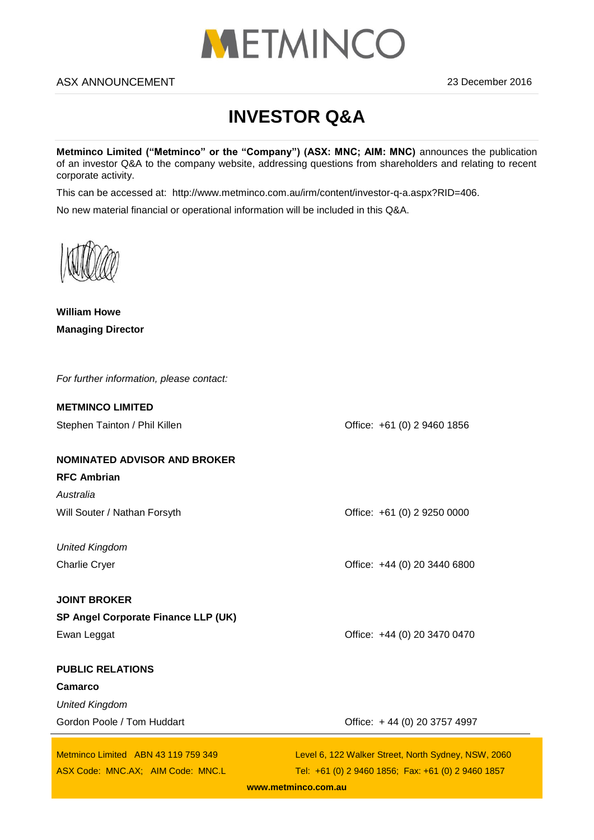

## ASX ANNOUNCEMENT 2016

# **INVESTOR Q&A**

**Metminco Limited ("Metminco" or the "Company") (ASX: MNC; AIM: MNC)** announces the publication of an investor Q&A to the company website, addressing questions from shareholders and relating to recent corporate activity.

This can be accessed at: http://www.metminco.com.au/irm/content/investor-q-a.aspx?RID=406.

No new material financial or operational information will be included in this Q&A.

**William Howe Managing Director**

| For further information, please contact: |                                                     |
|------------------------------------------|-----------------------------------------------------|
| <b>METMINCO LIMITED</b>                  |                                                     |
| Stephen Tainton / Phil Killen            | Office: +61 (0) 2 9460 1856                         |
| <b>NOMINATED ADVISOR AND BROKER</b>      |                                                     |
| <b>RFC Ambrian</b>                       |                                                     |
| Australia                                |                                                     |
| Will Souter / Nathan Forsyth             | Office: +61 (0) 2 9250 0000                         |
|                                          |                                                     |
| <b>United Kingdom</b>                    |                                                     |
| <b>Charlie Cryer</b>                     | Office: +44 (0) 20 3440 6800                        |
| <b>JOINT BROKER</b>                      |                                                     |
| SP Angel Corporate Finance LLP (UK)      |                                                     |
| Ewan Leggat                              | Office: +44 (0) 20 3470 0470                        |
|                                          |                                                     |
| <b>PUBLIC RELATIONS</b>                  |                                                     |
| <b>Camarco</b>                           |                                                     |
| <b>United Kingdom</b>                    |                                                     |
| Gordon Poole / Tom Huddart               | Office: +44 (0) 20 3757 4997                        |
| Metminco Limited ABN 43 119 759 349      | Level 6, 122 Walker Street, North Sydney, NSW, 2060 |
| ASX Code: MNC.AX; AIM Code: MNC.L        | Tel: +61 (0) 2 9460 1856; Fax: +61 (0) 2 9460 1857  |
|                                          |                                                     |

**[www.metminco.com.au](http://www.metminco.com.au/)**